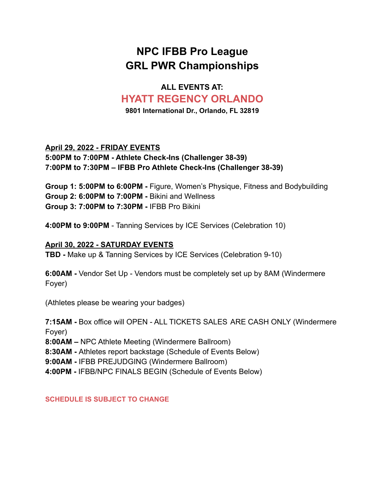# **NPC IFBB Pro League GRL PWR Championships**

### **ALL EVENTS AT: HYATT REGENCY ORLANDO**

**9801 International Dr., Orlando, FL 32819**

#### **April 29, 2022 - FRIDAY EVENTS 5:00PM to 7:00PM - Athlete Check-Ins (Challenger 38-39) 7:00PM to 7:30PM – IFBB Pro Athlete Check-Ins (Challenger 38-39)**

**Group 1: 5:00PM to 6:00PM -** Figure, Women's Physique, Fitness and Bodybuilding **Group 2: 6:00PM to 7:00PM -** Bikini and Wellness **Group 3: 7:00PM to 7:30PM -** IFBB Pro Bikini

**4:00PM to 9:00PM** - Tanning Services by ICE Services (Celebration 10)

#### **April 30, 2022 - SATURDAY EVENTS**

**TBD -** Make up & Tanning Services by ICE Services (Celebration 9-10)

**6:00AM -** Vendor Set Up - Vendors must be completely set up by 8AM (Windermere Foyer)

(Athletes please be wearing your badges)

**7:15AM -** Box office will OPEN - ALL TICKETS SALES ARE CASH ONLY (Windermere Foyer)

**8:00AM –** NPC Athlete Meeting (Windermere Ballroom)

**8:30AM -** Athletes report backstage (Schedule of Events Below)

**9:00AM -** IFBB PREJUDGING (Windermere Ballroom)

**4:00PM -** IFBB/NPC FINALS BEGIN (Schedule of Events Below)

**SCHEDULE IS SUBJECT TO CHANGE**